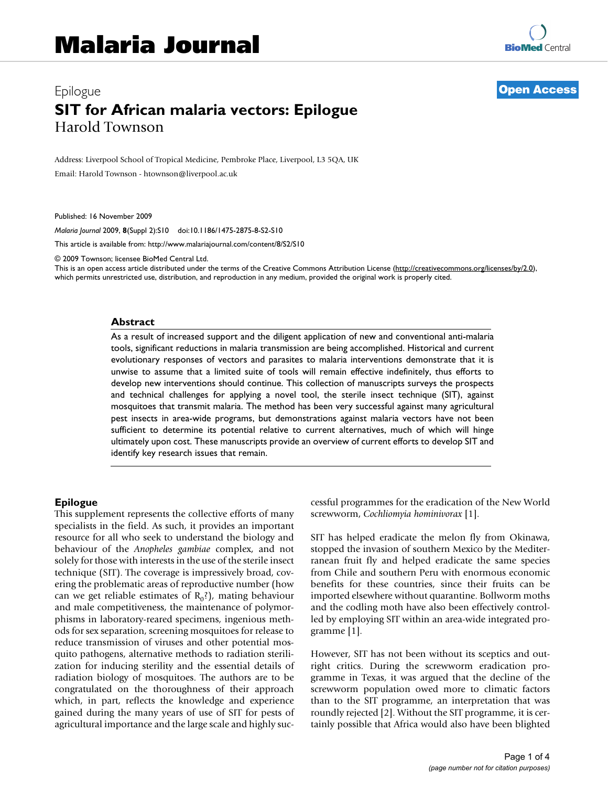# Epilogue **[Open Access](http://www.biomedcentral.com/info/about/charter/) SIT for African malaria vectors: Epilogue** Harold Townson

Address: Liverpool School of Tropical Medicine, Pembroke Place, Liverpool, L3 5QA, UK

Email: Harold Townson - htownson@liverpool.ac.uk

Published: 16 November 2009

*Malaria Journal* 2009, **8**(Suppl 2):S10 doi:10.1186/1475-2875-8-S2-S10

[This article is available from: http://www.malariajournal.com/content/8/S2/S10](http://www.malariajournal.com/content/8/S2/S10)

© 2009 Townson; licensee BioMed Central Ltd.

This is an open access article distributed under the terms of the Creative Commons Attribution License [\(http://creativecommons.org/licenses/by/2.0\)](http://creativecommons.org/licenses/by/2.0), which permits unrestricted use, distribution, and reproduction in any medium, provided the original work is properly cited.

#### **Abstract**

As a result of increased support and the diligent application of new and conventional anti-malaria tools, significant reductions in malaria transmission are being accomplished. Historical and current evolutionary responses of vectors and parasites to malaria interventions demonstrate that it is unwise to assume that a limited suite of tools will remain effective indefinitely, thus efforts to develop new interventions should continue. This collection of manuscripts surveys the prospects and technical challenges for applying a novel tool, the sterile insect technique (SIT), against mosquitoes that transmit malaria. The method has been very successful against many agricultural pest insects in area-wide programs, but demonstrations against malaria vectors have not been sufficient to determine its potential relative to current alternatives, much of which will hinge ultimately upon cost. These manuscripts provide an overview of current efforts to develop SIT and identify key research issues that remain.

### **Epilogue**

This supplement represents the collective efforts of many specialists in the field. As such, it provides an important resource for all who seek to understand the biology and behaviour of the *Anopheles gambiae* complex, and not solely for those with interests in the use of the sterile insect technique (SIT). The coverage is impressively broad, covering the problematic areas of reproductive number (how can we get reliable estimates of  $R_0$ ?), mating behaviour and male competitiveness, the maintenance of polymorphisms in laboratory-reared specimens, ingenious methods for sex separation, screening mosquitoes for release to reduce transmission of viruses and other potential mosquito pathogens, alternative methods to radiation sterilization for inducing sterility and the essential details of radiation biology of mosquitoes. The authors are to be congratulated on the thoroughness of their approach which, in part, reflects the knowledge and experience gained during the many years of use of SIT for pests of agricultural importance and the large scale and highly successful programmes for the eradication of the New World screwworm, *Cochliomyia hominivorax* [1].

SIT has helped eradicate the melon fly from Okinawa, stopped the invasion of southern Mexico by the Mediterranean fruit fly and helped eradicate the same species from Chile and southern Peru with enormous economic benefits for these countries, since their fruits can be imported elsewhere without quarantine. Bollworm moths and the codling moth have also been effectively controlled by employing SIT within an area-wide integrated programme [1].

However, SIT has not been without its sceptics and outright critics. During the screwworm eradication programme in Texas, it was argued that the decline of the screwworm population owed more to climatic factors than to the SIT programme, an interpretation that was roundly rejected [2]. Without the SIT programme, it is certainly possible that Africa would also have been blighted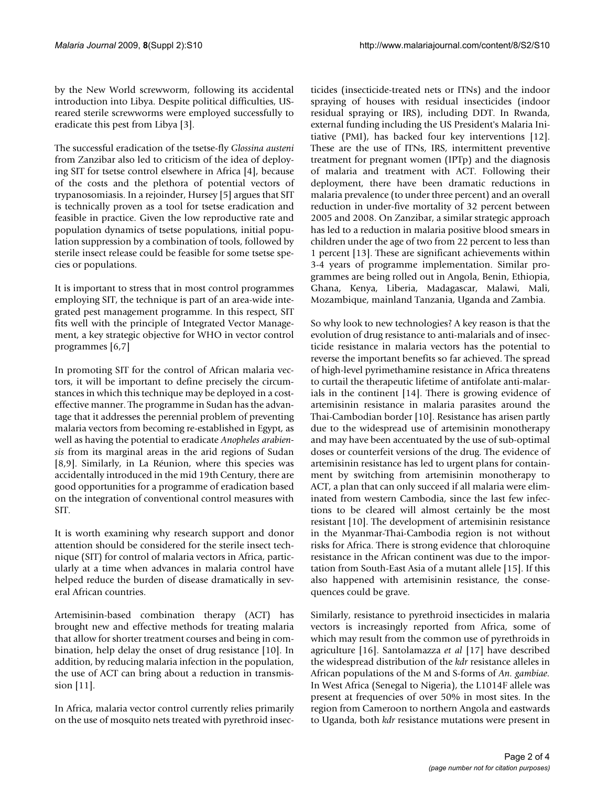by the New World screwworm, following its accidental introduction into Libya. Despite political difficulties, USreared sterile screwworms were employed successfully to eradicate this pest from Libya [3].

The successful eradication of the tsetse-fly *Glossina austeni* from Zanzibar also led to criticism of the idea of deploying SIT for tsetse control elsewhere in Africa [4], because of the costs and the plethora of potential vectors of trypanosomiasis. In a rejoinder, Hursey [5] argues that SIT is technically proven as a tool for tsetse eradication and feasible in practice. Given the low reproductive rate and population dynamics of tsetse populations, initial population suppression by a combination of tools, followed by sterile insect release could be feasible for some tsetse species or populations.

It is important to stress that in most control programmes employing SIT, the technique is part of an area-wide integrated pest management programme. In this respect, SIT fits well with the principle of Integrated Vector Management, a key strategic objective for WHO in vector control programmes [6,7]

In promoting SIT for the control of African malaria vectors, it will be important to define precisely the circumstances in which this technique may be deployed in a costeffective manner. The programme in Sudan has the advantage that it addresses the perennial problem of preventing malaria vectors from becoming re-established in Egypt, as well as having the potential to eradicate *Anopheles arabiensis* from its marginal areas in the arid regions of Sudan [8,9]. Similarly, in La Réunion, where this species was accidentally introduced in the mid 19th Century, there are good opportunities for a programme of eradication based on the integration of conventional control measures with SIT.

It is worth examining why research support and donor attention should be considered for the sterile insect technique (SIT) for control of malaria vectors in Africa, particularly at a time when advances in malaria control have helped reduce the burden of disease dramatically in several African countries.

Artemisinin-based combination therapy (ACT) has brought new and effective methods for treating malaria that allow for shorter treatment courses and being in combination, help delay the onset of drug resistance [10]. In addition, by reducing malaria infection in the population, the use of ACT can bring about a reduction in transmission [11].

In Africa, malaria vector control currently relies primarily on the use of mosquito nets treated with pyrethroid insecticides (insecticide-treated nets or ITNs) and the indoor spraying of houses with residual insecticides (indoor residual spraying or IRS), including DDT. In Rwanda, external funding including the US President's Malaria Initiative (PMI), has backed four key interventions [12]. These are the use of ITNs, IRS, intermittent preventive treatment for pregnant women (IPTp) and the diagnosis of malaria and treatment with ACT. Following their deployment, there have been dramatic reductions in malaria prevalence (to under three percent) and an overall reduction in under-five mortality of 32 percent between 2005 and 2008. On Zanzibar, a similar strategic approach has led to a reduction in malaria positive blood smears in children under the age of two from 22 percent to less than 1 percent [13]. These are significant achievements within 3-4 years of programme implementation. Similar programmes are being rolled out in Angola, Benin, Ethiopia, Ghana, Kenya, Liberia, Madagascar, Malawi, Mali, Mozambique, mainland Tanzania, Uganda and Zambia.

So why look to new technologies? A key reason is that the evolution of drug resistance to anti-malarials and of insecticide resistance in malaria vectors has the potential to reverse the important benefits so far achieved. The spread of high-level pyrimethamine resistance in Africa threatens to curtail the therapeutic lifetime of antifolate anti-malarials in the continent [14]. There is growing evidence of artemisinin resistance in malaria parasites around the Thai-Cambodian border [10]. Resistance has arisen partly due to the widespread use of artemisinin monotherapy and may have been accentuated by the use of sub-optimal doses or counterfeit versions of the drug. The evidence of artemisinin resistance has led to urgent plans for containment by switching from artemisinin monotherapy to ACT, a plan that can only succeed if all malaria were eliminated from western Cambodia, since the last few infections to be cleared will almost certainly be the most resistant [10]. The development of artemisinin resistance in the Myanmar-Thai-Cambodia region is not without risks for Africa. There is strong evidence that chloroquine resistance in the African continent was due to the importation from South-East Asia of a mutant allele [15]. If this also happened with artemisinin resistance, the consequences could be grave.

Similarly, resistance to pyrethroid insecticides in malaria vectors is increasingly reported from Africa, some of which may result from the common use of pyrethroids in agriculture [16]. Santolamazza *et al* [17] have described the widespread distribution of the *kdr* resistance alleles in African populations of the M and S-forms of *An. gambiae.* In West Africa (Senegal to Nigeria), the L1014F allele was present at frequencies of over 50% in most sites. In the region from Cameroon to northern Angola and eastwards to Uganda, both *kdr* resistance mutations were present in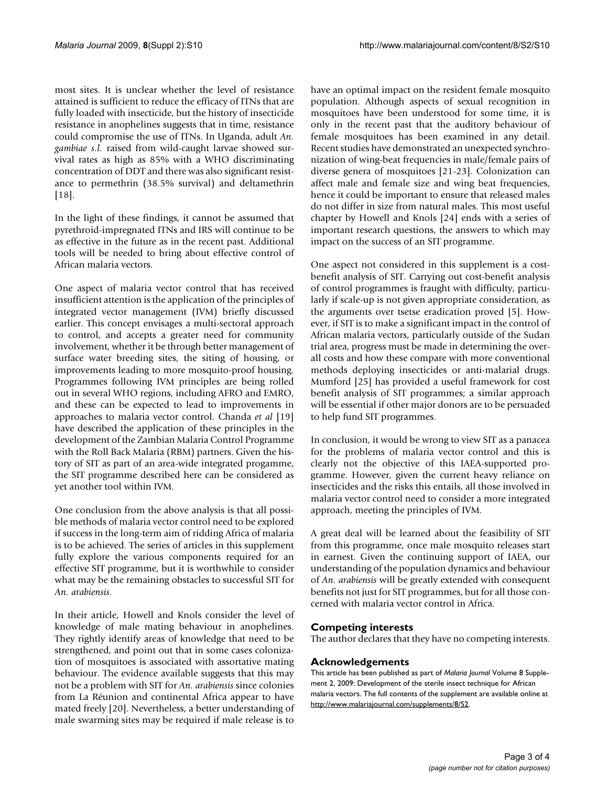most sites. It is unclear whether the level of resistance attained is sufficient to reduce the efficacy of ITNs that are fully loaded with insecticide, but the history of insecticide resistance in anophelines suggests that in time, resistance could compromise the use of ITNs. In Uganda, adult *An. gambiae s.l.* raised from wild-caught larvae showed survival rates as high as 85% with a WHO discriminating concentration of DDT and there was also significant resistance to permethrin (38.5% survival) and deltamethrin [[18](#page-3-0)].

In the light of these findings, it cannot be assumed that pyrethroid-impregnated ITNs and IRS will continue to be as effective in the future as in the recent past. Additional tools will be needed to bring about effective control of African malaria vectors.

One aspect of malaria vector control that has received insufficient attention is the application of the principles of integrated vector management (IVM) briefly discussed earlier. This concept envisages a multi-sectoral approach to control, and accepts a greater need for community involvement, whether it be through better management of surface water breeding sites, the siting of housing, or improvements leading to more mosquito-proof housing. Programmes following IVM principles are being rolled out in several WHO regions, including AFRO and EMRO, and these can be expected to lead to improvements in approaches to malaria vector control. Chanda *et al* [19] have described the application of these principles in the development of the Zambian Malaria Control Programme with the Roll Back Malaria (RBM) partners. Given the history of SIT as part of an area-wide integrated progamme, the SIT programme described here can be considered as yet another tool within IVM.

One conclusion from the above analysis is that all possible methods of malaria vector control need to be explored if success in the long-term aim of ridding Africa of malaria is to be achieved. The series of articles in this supplement fully explore the various components required for an effective SIT programme, but it is worthwhile to consider what may be the remaining obstacles to successful SIT for *An. arabiensis*.

In their article, Howell and Knols consider the level of knowledge of male mating behaviour in anophelines. They rightly identify areas of knowledge that need to be strengthened, and point out that in some cases colonization of mosquitoes is associated with assortative mating behaviour. The evidence available suggests that this may not be a problem with SIT for *An. arabiensis* since colonies from La Réunion and continental Africa appear to have mated freely [20]. Nevertheless, a better understanding of male swarming sites may be required if male release is to

have an optimal impact on the resident female mosquito population. Although aspects of sexual recognition in mosquitoes have been understood for some time, it is only in the recent past that the auditory behaviour of female mosquitoes has been examined in any detail. Recent studies have demonstrated an unexpected synchronization of wing-beat frequencies in male/female pairs of diverse genera of mosquitoes [21-23]. Colonization can affect male and female size and wing beat frequencies, hence it could be important to ensure that released males do not differ in size from natural males. This most useful chapter by Howell and Knols [24] ends with a series of important research questions, the answers to which may impact on the success of an SIT programme.

One aspect not considered in this supplement is a costbenefit analysis of SIT. Carrying out cost-benefit analysis of control programmes is fraught with difficulty, particularly if scale-up is not given appropriate consideration, as the arguments over tsetse eradication proved [5]. However, if SIT is to make a significant impact in the control of African malaria vectors, particularly outside of the Sudan trial area, progress must be made in determining the overall costs and how these compare with more conventional methods deploying insecticides or anti-malarial drugs. Mumford [25] has provided a useful framework for cost benefit analysis of SIT programmes; a similar approach will be essential if other major donors are to be persuaded to help fund SIT programmes.

In conclusion, it would be wrong to view SIT as a panacea for the problems of malaria vector control and this is clearly not the objective of this IAEA-supported programme. However, given the current heavy reliance on insecticides and the risks this entails, all those involved in malaria vector control need to consider a more integrated approach, meeting the principles of IVM.

A great deal will be learned about the feasibility of SIT from this programme, once male mosquito releases start in earnest. Given the continuing support of IAEA, our understanding of the population dynamics and behaviour of *An. arabiensis* will be greatly extended with consequent benefits not just for SIT programmes, but for all those concerned with malaria vector control in Africa.

## **Competing interests**

The author declares that they have no competing interests.

## **Acknowledgements**

This article has been published as part of *Malaria Journal* Volume 8 Supplement 2, 2009: Development of the sterile insect technique for African malaria vectors. The full contents of the supplement are available online at [http://www.malariajournal.com/supplements/8/S2.](http://www.malariajournal.com/supplements/8/S2)